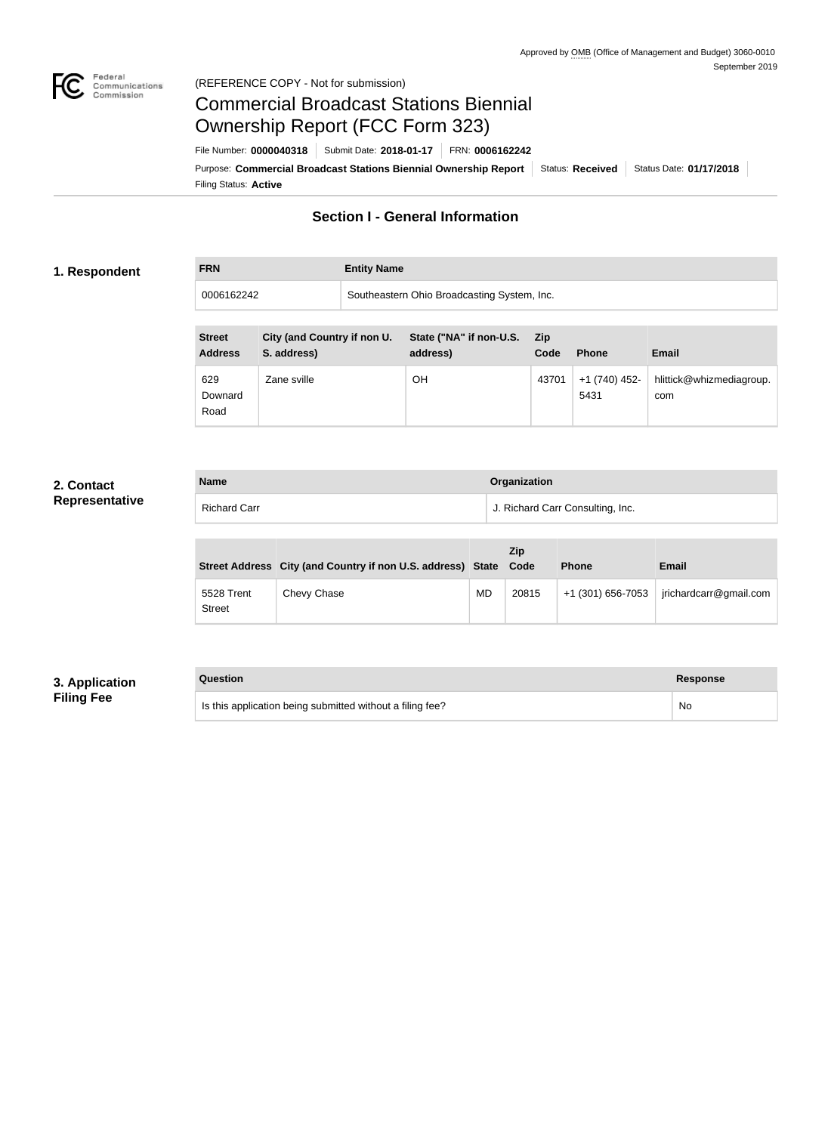

### Federal<br>Communications<br>Commission (REFERENCE COPY - Not for submission)

# Commercial Broadcast Stations Biennial Ownership Report (FCC Form 323)

Filing Status: **Active** Purpose: Commercial Broadcast Stations Biennial Ownership Report Status: Received Status Date: 01/17/2018 File Number: **0000040318** Submit Date: **2018-01-17** FRN: **0006162242**

# **Section I - General Information**

### **1. Respondent**

**FRN Entity Name**

0006162242 Southeastern Ohio Broadcasting System, Inc.

| <b>Street</b><br><b>Address</b> | City (and Country if non U.<br>S. address) | State ("NA" if non-U.S.<br>address) | <b>Zip</b><br>Code | <b>Phone</b>          | <b>Email</b>                    |
|---------------------------------|--------------------------------------------|-------------------------------------|--------------------|-----------------------|---------------------------------|
| 629<br>Downard<br>Road          | Zane sville                                | ΟH                                  | 43701              | +1 (740) 452-<br>5431 | hlittick@whizmediagroup.<br>com |

### **2. Contact Representative**

| <b>Name</b>         | Organization                     |
|---------------------|----------------------------------|
| <b>Richard Carr</b> | J. Richard Carr Consulting, Inc. |

|                             | Street Address City (and Country if non U.S. address) State Code |    | <b>Zip</b> | <b>Phone</b>      | <b>Email</b>           |
|-----------------------------|------------------------------------------------------------------|----|------------|-------------------|------------------------|
| 5528 Trent<br><b>Street</b> | Chevy Chase                                                      | MD | 20815      | +1 (301) 656-7053 | jrichardcarr@gmail.com |

### **3. Application Filing Fee**

### **Question Response**

Is this application being submitted without a filing fee? No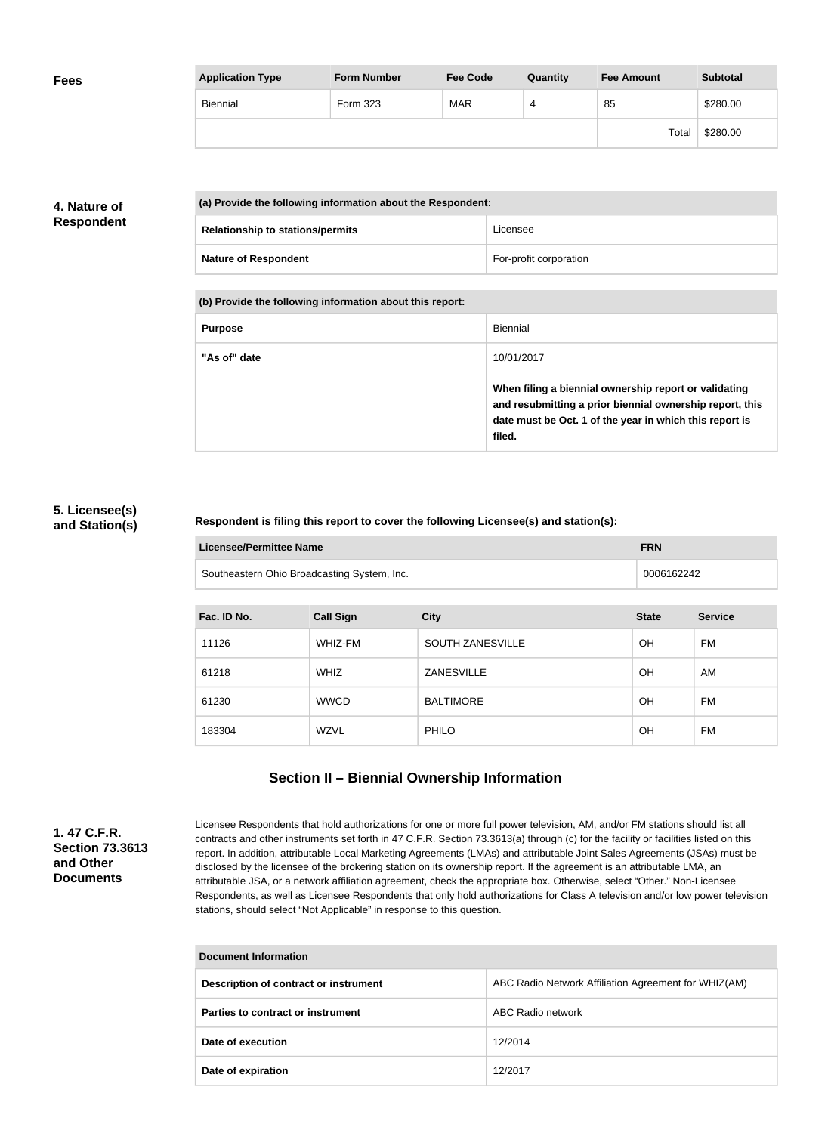| <b>Fees</b> | <b>Application Type</b> | <b>Form Number</b> | <b>Fee Code</b> | Quantity | <b>Fee Amount</b> | <b>Subtotal</b> |
|-------------|-------------------------|--------------------|-----------------|----------|-------------------|-----------------|
|             | Biennial                | Form 323           | <b>MAR</b>      | 4        | 85                | \$280.00        |
|             |                         |                    |                 |          | Total             | \$280.00        |

### **4. Nature of Respondent**

| (a) Provide the following information about the Respondent: |                        |
|-------------------------------------------------------------|------------------------|
| <b>Relationship to stations/permits</b>                     | Licensee               |
| <b>Nature of Respondent</b>                                 | For-profit corporation |

**(b) Provide the following information about this report:**

| <b>Purpose</b> | Biennial                                                                                                                                                                               |
|----------------|----------------------------------------------------------------------------------------------------------------------------------------------------------------------------------------|
| "As of" date   | 10/01/2017                                                                                                                                                                             |
|                | When filing a biennial ownership report or validating<br>and resubmitting a prior biennial ownership report, this<br>date must be Oct. 1 of the year in which this report is<br>filed. |

### **5. Licensee(s) and Station(s)**

### **Respondent is filing this report to cover the following Licensee(s) and station(s):**

| Licensee/Permittee Name                     | <b>FRN</b> |  |
|---------------------------------------------|------------|--|
| Southeastern Ohio Broadcasting System, Inc. | 0006162242 |  |

| Fac. ID No. | <b>Call Sign</b> | <b>City</b>             | <b>State</b> | <b>Service</b> |
|-------------|------------------|-------------------------|--------------|----------------|
| 11126       | WHIZ-FM          | <b>SOUTH ZANESVILLE</b> | OH           | <b>FM</b>      |
| 61218       | <b>WHIZ</b>      | <b>ZANESVILLE</b>       | OH           | AM             |
| 61230       | <b>WWCD</b>      | <b>BALTIMORE</b>        | OH           | <b>FM</b>      |
| 183304      | <b>WZVL</b>      | <b>PHILO</b>            | OH           | <b>FM</b>      |

# **Section II – Biennial Ownership Information**

**1. 47 C.F.R. Section 73.3613 and Other Documents**

Licensee Respondents that hold authorizations for one or more full power television, AM, and/or FM stations should list all contracts and other instruments set forth in 47 C.F.R. Section 73.3613(a) through (c) for the facility or facilities listed on this report. In addition, attributable Local Marketing Agreements (LMAs) and attributable Joint Sales Agreements (JSAs) must be disclosed by the licensee of the brokering station on its ownership report. If the agreement is an attributable LMA, an attributable JSA, or a network affiliation agreement, check the appropriate box. Otherwise, select "Other." Non-Licensee Respondents, as well as Licensee Respondents that only hold authorizations for Class A television and/or low power television stations, should select "Not Applicable" in response to this question.

| Document Information                  |                                                      |  |  |
|---------------------------------------|------------------------------------------------------|--|--|
| Description of contract or instrument | ABC Radio Network Affiliation Agreement for WHIZ(AM) |  |  |
| Parties to contract or instrument     | ABC Radio network                                    |  |  |
| Date of execution                     | 12/2014                                              |  |  |
| Date of expiration                    | 12/2017                                              |  |  |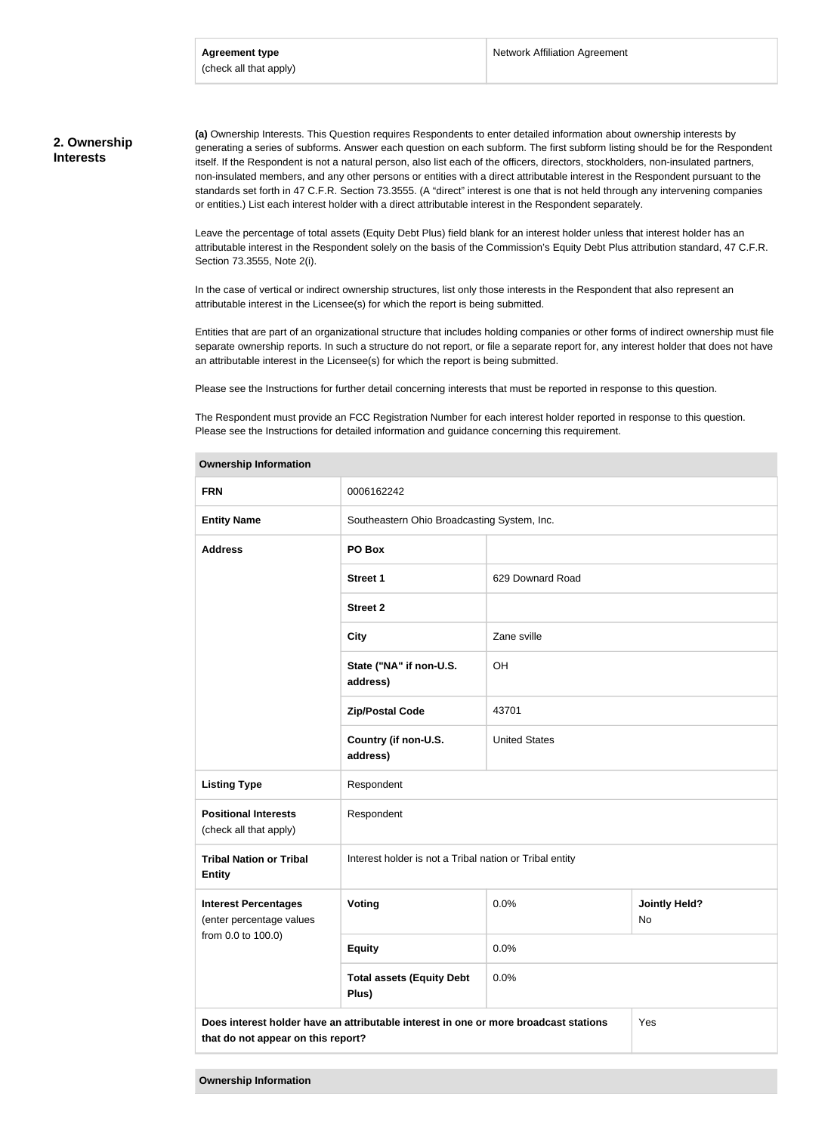#### **2. Ownership Interests**

**(a)** Ownership Interests. This Question requires Respondents to enter detailed information about ownership interests by generating a series of subforms. Answer each question on each subform. The first subform listing should be for the Respondent itself. If the Respondent is not a natural person, also list each of the officers, directors, stockholders, non-insulated partners, non-insulated members, and any other persons or entities with a direct attributable interest in the Respondent pursuant to the standards set forth in 47 C.F.R. Section 73.3555. (A "direct" interest is one that is not held through any intervening companies or entities.) List each interest holder with a direct attributable interest in the Respondent separately.

Leave the percentage of total assets (Equity Debt Plus) field blank for an interest holder unless that interest holder has an attributable interest in the Respondent solely on the basis of the Commission's Equity Debt Plus attribution standard, 47 C.F.R. Section 73.3555, Note 2(i).

In the case of vertical or indirect ownership structures, list only those interests in the Respondent that also represent an attributable interest in the Licensee(s) for which the report is being submitted.

Entities that are part of an organizational structure that includes holding companies or other forms of indirect ownership must file separate ownership reports. In such a structure do not report, or file a separate report for, any interest holder that does not have an attributable interest in the Licensee(s) for which the report is being submitted.

Please see the Instructions for further detail concerning interests that must be reported in response to this question.

The Respondent must provide an FCC Registration Number for each interest holder reported in response to this question. Please see the Instructions for detailed information and guidance concerning this requirement.

| <b>FRN</b>                                                                                                                        | 0006162242                                              |                      |                            |  |
|-----------------------------------------------------------------------------------------------------------------------------------|---------------------------------------------------------|----------------------|----------------------------|--|
| <b>Entity Name</b>                                                                                                                | Southeastern Ohio Broadcasting System, Inc.             |                      |                            |  |
| <b>Address</b>                                                                                                                    | PO Box                                                  |                      |                            |  |
|                                                                                                                                   | <b>Street 1</b>                                         | 629 Downard Road     |                            |  |
|                                                                                                                                   | <b>Street 2</b>                                         |                      |                            |  |
|                                                                                                                                   | <b>City</b>                                             | Zane sville          |                            |  |
|                                                                                                                                   | State ("NA" if non-U.S.<br>address)                     | OH                   |                            |  |
|                                                                                                                                   | <b>Zip/Postal Code</b>                                  | 43701                |                            |  |
|                                                                                                                                   | Country (if non-U.S.<br>address)                        | <b>United States</b> |                            |  |
| <b>Listing Type</b>                                                                                                               | Respondent                                              |                      |                            |  |
| <b>Positional Interests</b><br>(check all that apply)                                                                             | Respondent                                              |                      |                            |  |
| <b>Tribal Nation or Tribal</b><br><b>Entity</b>                                                                                   | Interest holder is not a Tribal nation or Tribal entity |                      |                            |  |
| <b>Interest Percentages</b><br>(enter percentage values                                                                           | Voting                                                  | 0.0%                 | <b>Jointly Held?</b><br>No |  |
| from 0.0 to 100.0)                                                                                                                | <b>Equity</b>                                           | 0.0%                 |                            |  |
|                                                                                                                                   | <b>Total assets (Equity Debt</b><br>Plus)               | 0.0%                 |                            |  |
| Does interest holder have an attributable interest in one or more broadcast stations<br>Yes<br>that do not appear on this report? |                                                         |                      |                            |  |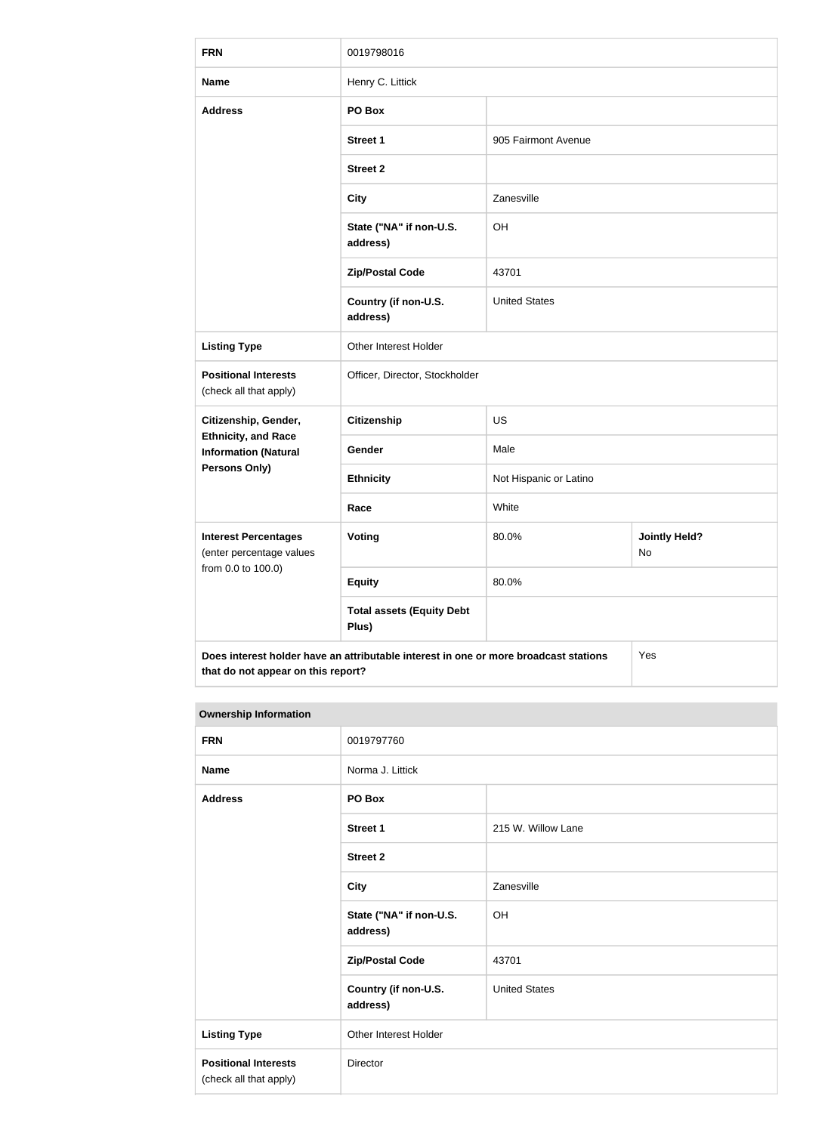| <b>FRN</b>                                                                                                                        | 0019798016                                |                        |                            |  |
|-----------------------------------------------------------------------------------------------------------------------------------|-------------------------------------------|------------------------|----------------------------|--|
| <b>Name</b>                                                                                                                       | Henry C. Littick                          |                        |                            |  |
| <b>Address</b>                                                                                                                    | PO Box                                    |                        |                            |  |
|                                                                                                                                   | <b>Street 1</b>                           | 905 Fairmont Avenue    |                            |  |
|                                                                                                                                   | <b>Street 2</b>                           |                        |                            |  |
|                                                                                                                                   | <b>City</b>                               | Zanesville             |                            |  |
|                                                                                                                                   | State ("NA" if non-U.S.<br>address)       | OH                     |                            |  |
|                                                                                                                                   | <b>Zip/Postal Code</b>                    | 43701                  |                            |  |
|                                                                                                                                   | Country (if non-U.S.<br>address)          | <b>United States</b>   |                            |  |
| <b>Listing Type</b>                                                                                                               | Other Interest Holder                     |                        |                            |  |
| <b>Positional Interests</b><br>(check all that apply)                                                                             | Officer, Director, Stockholder            |                        |                            |  |
| Citizenship, Gender,                                                                                                              | <b>Citizenship</b>                        | <b>US</b>              |                            |  |
| <b>Ethnicity, and Race</b><br><b>Information (Natural</b>                                                                         | Gender                                    | Male                   |                            |  |
| <b>Persons Only)</b>                                                                                                              | <b>Ethnicity</b>                          | Not Hispanic or Latino |                            |  |
|                                                                                                                                   | Race                                      | White                  |                            |  |
| <b>Interest Percentages</b><br>(enter percentage values                                                                           | Voting                                    | 80.0%                  | <b>Jointly Held?</b><br>No |  |
| from 0.0 to 100.0)                                                                                                                | <b>Equity</b>                             | 80.0%                  |                            |  |
|                                                                                                                                   | <b>Total assets (Equity Debt</b><br>Plus) |                        |                            |  |
| Does interest holder have an attributable interest in one or more broadcast stations<br>Yes<br>that do not appear on this report? |                                           |                        |                            |  |

| <b>FRN</b>                                            | 0019797760                          |                      |  |
|-------------------------------------------------------|-------------------------------------|----------------------|--|
| <b>Name</b>                                           | Norma J. Littick                    |                      |  |
| <b>Address</b>                                        | PO Box                              |                      |  |
|                                                       | <b>Street 1</b>                     | 215 W. Willow Lane   |  |
|                                                       | <b>Street 2</b>                     |                      |  |
|                                                       | <b>City</b>                         | Zanesville           |  |
|                                                       | State ("NA" if non-U.S.<br>address) | OH                   |  |
|                                                       | <b>Zip/Postal Code</b>              | 43701                |  |
|                                                       | Country (if non-U.S.<br>address)    | <b>United States</b> |  |
| <b>Listing Type</b>                                   | Other Interest Holder               |                      |  |
| <b>Positional Interests</b><br>(check all that apply) | Director                            |                      |  |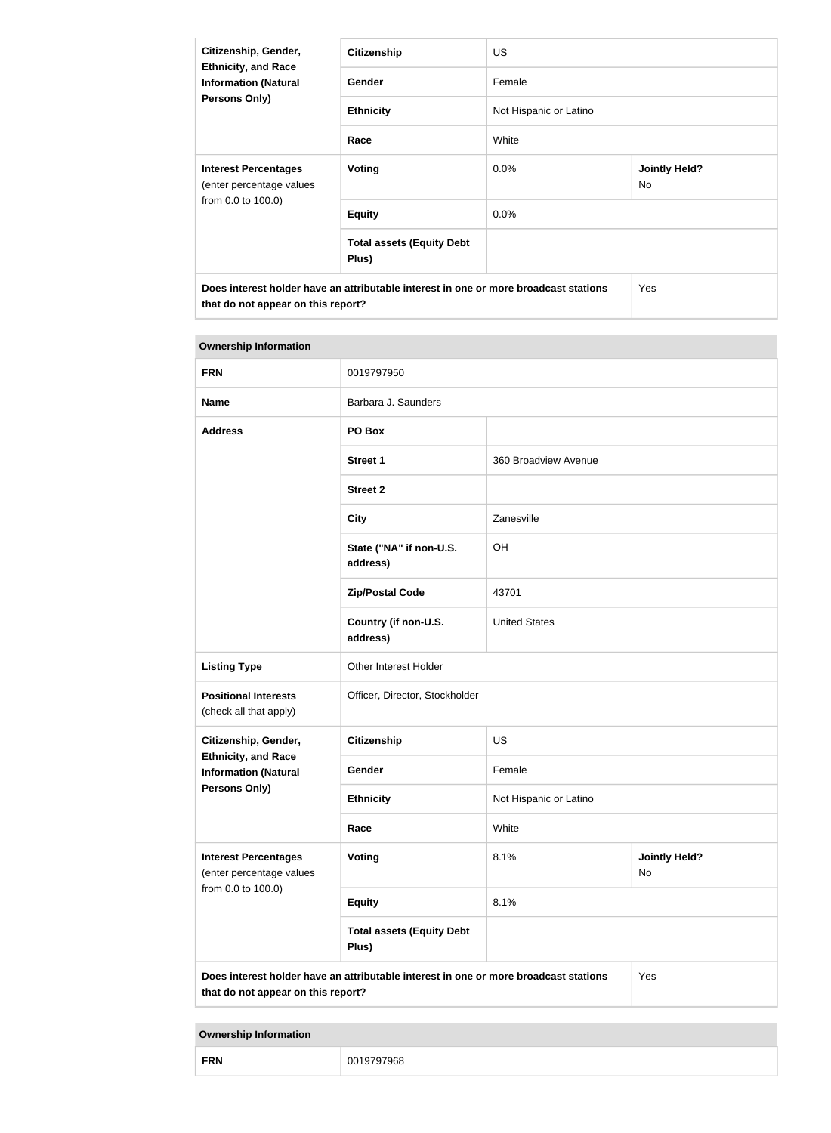| Citizenship, Gender,<br><b>Ethnicity, and Race</b><br><b>Information (Natural</b><br><b>Persons Only)</b> | <b>Citizenship</b>                                                                   | <b>US</b>              |                             |  |
|-----------------------------------------------------------------------------------------------------------|--------------------------------------------------------------------------------------|------------------------|-----------------------------|--|
|                                                                                                           | Gender                                                                               | Female                 |                             |  |
|                                                                                                           | <b>Ethnicity</b>                                                                     | Not Hispanic or Latino |                             |  |
|                                                                                                           | Race                                                                                 | White                  |                             |  |
| <b>Interest Percentages</b><br>(enter percentage values                                                   | Voting                                                                               | $0.0\%$                | <b>Jointly Held?</b><br>No. |  |
| from 0.0 to 100.0)                                                                                        | <b>Equity</b>                                                                        | $0.0\%$                |                             |  |
|                                                                                                           | <b>Total assets (Equity Debt</b><br>Plus)                                            |                        |                             |  |
| that do not appear on this report?                                                                        | Does interest holder have an attributable interest in one or more broadcast stations |                        | Yes                         |  |

| <b>Ownership Information</b>                              |                                                                                      |                        |                            |
|-----------------------------------------------------------|--------------------------------------------------------------------------------------|------------------------|----------------------------|
| <b>FRN</b>                                                | 0019797950                                                                           |                        |                            |
| <b>Name</b>                                               | Barbara J. Saunders                                                                  |                        |                            |
| <b>Address</b>                                            | PO Box                                                                               |                        |                            |
|                                                           | <b>Street 1</b>                                                                      | 360 Broadview Avenue   |                            |
|                                                           | <b>Street 2</b>                                                                      |                        |                            |
|                                                           | <b>City</b>                                                                          | Zanesville             |                            |
|                                                           | State ("NA" if non-U.S.<br>address)                                                  | OH                     |                            |
|                                                           | <b>Zip/Postal Code</b>                                                               | 43701                  |                            |
|                                                           | Country (if non-U.S.<br>address)                                                     | <b>United States</b>   |                            |
| <b>Listing Type</b>                                       | Other Interest Holder                                                                |                        |                            |
| <b>Positional Interests</b><br>(check all that apply)     | Officer, Director, Stockholder                                                       |                        |                            |
| Citizenship, Gender,                                      | <b>Citizenship</b>                                                                   | US                     |                            |
| <b>Ethnicity, and Race</b><br><b>Information (Natural</b> | Gender                                                                               | Female                 |                            |
| <b>Persons Only)</b>                                      | <b>Ethnicity</b>                                                                     | Not Hispanic or Latino |                            |
|                                                           | Race                                                                                 | White                  |                            |
| <b>Interest Percentages</b><br>(enter percentage values   | Voting                                                                               | 8.1%                   | <b>Jointly Held?</b><br>No |
| from 0.0 to 100.0)                                        | <b>Equity</b>                                                                        | 8.1%                   |                            |
|                                                           | <b>Total assets (Equity Debt</b><br>Plus)                                            |                        |                            |
| that do not appear on this report?                        | Does interest holder have an attributable interest in one or more broadcast stations |                        | Yes                        |

| <b>FRN</b> | 9797968<br>0019 |
|------------|-----------------|
|------------|-----------------|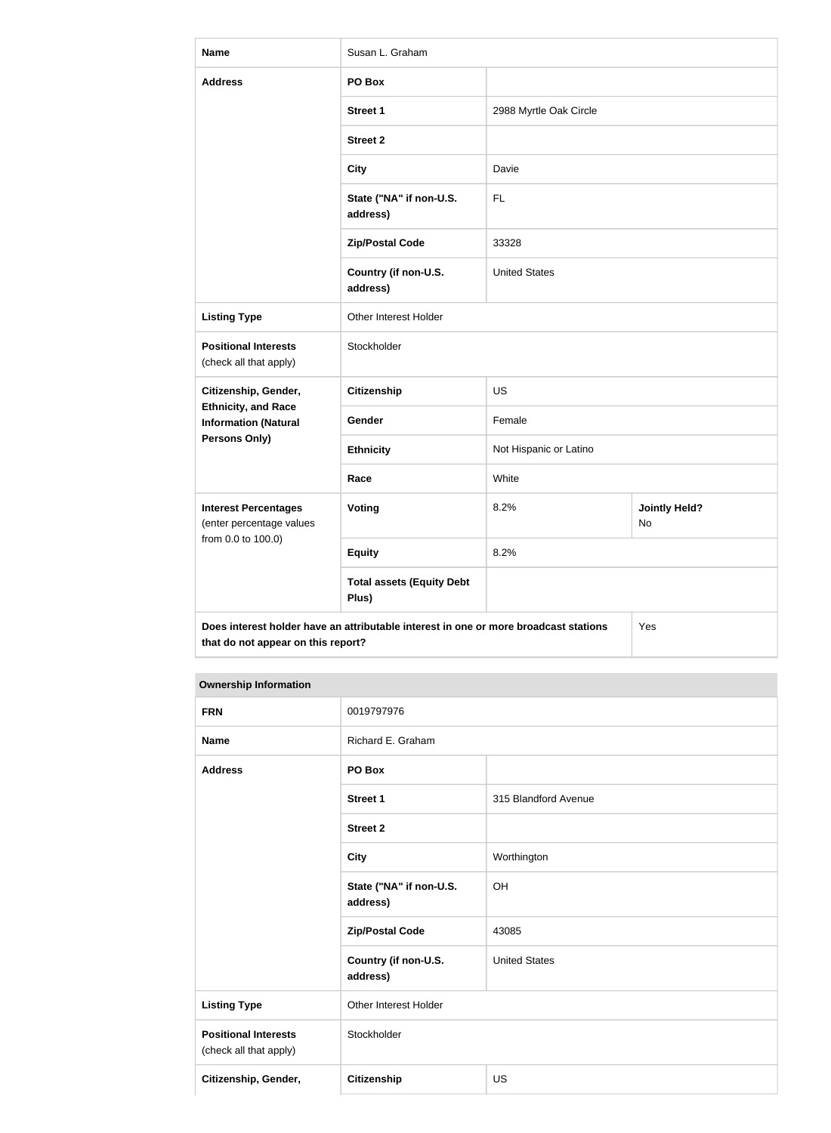| <b>Name</b>                                               | Susan L. Graham                                                                      |                                    |     |  |
|-----------------------------------------------------------|--------------------------------------------------------------------------------------|------------------------------------|-----|--|
| <b>Address</b>                                            | PO Box                                                                               |                                    |     |  |
|                                                           | <b>Street 1</b>                                                                      | 2988 Myrtle Oak Circle             |     |  |
|                                                           | <b>Street 2</b>                                                                      |                                    |     |  |
|                                                           | <b>City</b>                                                                          | Davie                              |     |  |
|                                                           | State ("NA" if non-U.S.<br>address)                                                  | FL.                                |     |  |
|                                                           | <b>Zip/Postal Code</b>                                                               | 33328                              |     |  |
|                                                           | Country (if non-U.S.<br>address)                                                     | <b>United States</b>               |     |  |
| <b>Listing Type</b>                                       | Other Interest Holder                                                                |                                    |     |  |
| <b>Positional Interests</b><br>(check all that apply)     | Stockholder                                                                          |                                    |     |  |
| Citizenship, Gender,                                      | <b>Citizenship</b>                                                                   | <b>US</b>                          |     |  |
| <b>Ethnicity, and Race</b><br><b>Information (Natural</b> | Gender                                                                               | Female                             |     |  |
| <b>Persons Only)</b>                                      | <b>Ethnicity</b>                                                                     | Not Hispanic or Latino             |     |  |
|                                                           | Race                                                                                 | White                              |     |  |
| <b>Interest Percentages</b><br>(enter percentage values   | <b>Voting</b>                                                                        | 8.2%<br><b>Jointly Held?</b><br>No |     |  |
| from 0.0 to 100.0)                                        | <b>Equity</b>                                                                        | 8.2%                               |     |  |
|                                                           | <b>Total assets (Equity Debt</b><br>Plus)                                            |                                    |     |  |
| that do not appear on this report?                        | Does interest holder have an attributable interest in one or more broadcast stations |                                    | Yes |  |

| <b>FRN</b>                                            | 0019797976                          |                      |  |
|-------------------------------------------------------|-------------------------------------|----------------------|--|
| <b>Name</b>                                           | Richard E. Graham                   |                      |  |
| <b>Address</b>                                        | PO Box                              |                      |  |
|                                                       | <b>Street 1</b>                     | 315 Blandford Avenue |  |
|                                                       | <b>Street 2</b>                     |                      |  |
|                                                       | <b>City</b>                         | Worthington          |  |
|                                                       | State ("NA" if non-U.S.<br>address) | OH                   |  |
|                                                       | <b>Zip/Postal Code</b>              | 43085                |  |
|                                                       | Country (if non-U.S.<br>address)    | <b>United States</b> |  |
| <b>Listing Type</b>                                   | Other Interest Holder               |                      |  |
| <b>Positional Interests</b><br>(check all that apply) | Stockholder                         |                      |  |
| Citizenship, Gender,                                  | Citizenship                         | US                   |  |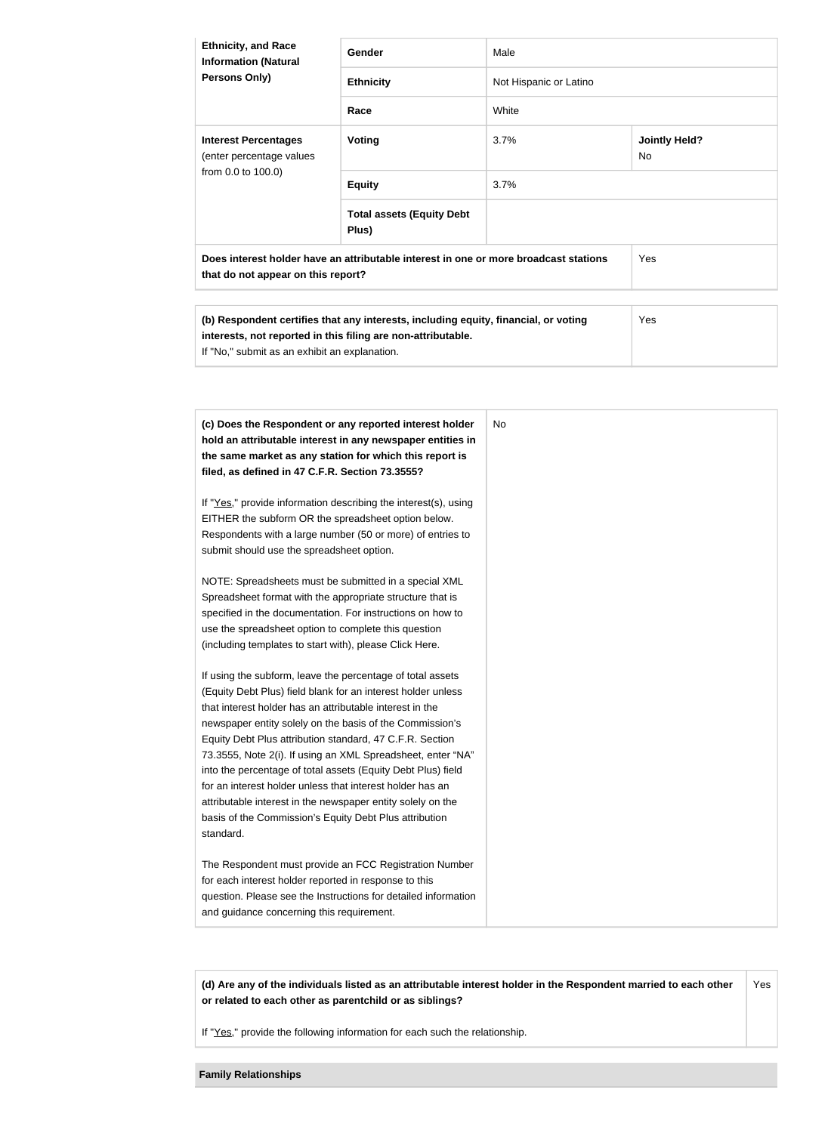| <b>Ethnicity, and Race</b><br><b>Information (Natural</b>                                                                  | Gender                                    | Male                   |                             |  |
|----------------------------------------------------------------------------------------------------------------------------|-------------------------------------------|------------------------|-----------------------------|--|
| <b>Persons Only)</b>                                                                                                       | <b>Ethnicity</b>                          | Not Hispanic or Latino |                             |  |
|                                                                                                                            | Race                                      | White                  |                             |  |
| <b>Interest Percentages</b><br>(enter percentage values<br>from 0.0 to 100.0)                                              | <b>Voting</b>                             | $3.7\%$                | <b>Jointly Held?</b><br>No. |  |
|                                                                                                                            | <b>Equity</b>                             | 3.7%                   |                             |  |
|                                                                                                                            | <b>Total assets (Equity Debt</b><br>Plus) |                        |                             |  |
| Does interest holder have an attributable interest in one or more broadcast stations<br>that do not appear on this report? |                                           | Yes                    |                             |  |

| (b) Respondent certifies that any interests, including equity, financial, or voting | Yes |
|-------------------------------------------------------------------------------------|-----|
| interests, not reported in this filing are non-attributable.                        |     |
| If "No," submit as an exhibit an explanation.                                       |     |

| (c) Does the Respondent or any reported interest holder<br>hold an attributable interest in any newspaper entities in | No |
|-----------------------------------------------------------------------------------------------------------------------|----|
| the same market as any station for which this report is<br>filed, as defined in 47 C.F.R. Section 73.3555?            |    |
| If "Yes," provide information describing the interest(s), using                                                       |    |
| EITHER the subform OR the spreadsheet option below.                                                                   |    |
| Respondents with a large number (50 or more) of entries to                                                            |    |
| submit should use the spreadsheet option.                                                                             |    |
| NOTE: Spreadsheets must be submitted in a special XML                                                                 |    |
| Spreadsheet format with the appropriate structure that is                                                             |    |
| specified in the documentation. For instructions on how to                                                            |    |
| use the spreadsheet option to complete this question                                                                  |    |
| (including templates to start with), please Click Here.                                                               |    |
| If using the subform, leave the percentage of total assets                                                            |    |
| (Equity Debt Plus) field blank for an interest holder unless                                                          |    |
| that interest holder has an attributable interest in the                                                              |    |
| newspaper entity solely on the basis of the Commission's                                                              |    |
| Equity Debt Plus attribution standard, 47 C.F.R. Section                                                              |    |
| 73.3555, Note 2(i). If using an XML Spreadsheet, enter "NA"                                                           |    |
| into the percentage of total assets (Equity Debt Plus) field                                                          |    |
| for an interest holder unless that interest holder has an                                                             |    |
| attributable interest in the newspaper entity solely on the                                                           |    |
| basis of the Commission's Equity Debt Plus attribution<br>standard.                                                   |    |
| The Respondent must provide an FCC Registration Number                                                                |    |
| for each interest holder reported in response to this                                                                 |    |
| question. Please see the Instructions for detailed information                                                        |    |
| and guidance concerning this requirement.                                                                             |    |

**(d) Are any of the individuals listed as an attributable interest holder in the Respondent married to each other or related to each other as parentchild or as siblings?** Yes

If "Yes," provide the following information for each such the relationship.

### **Family Relationships**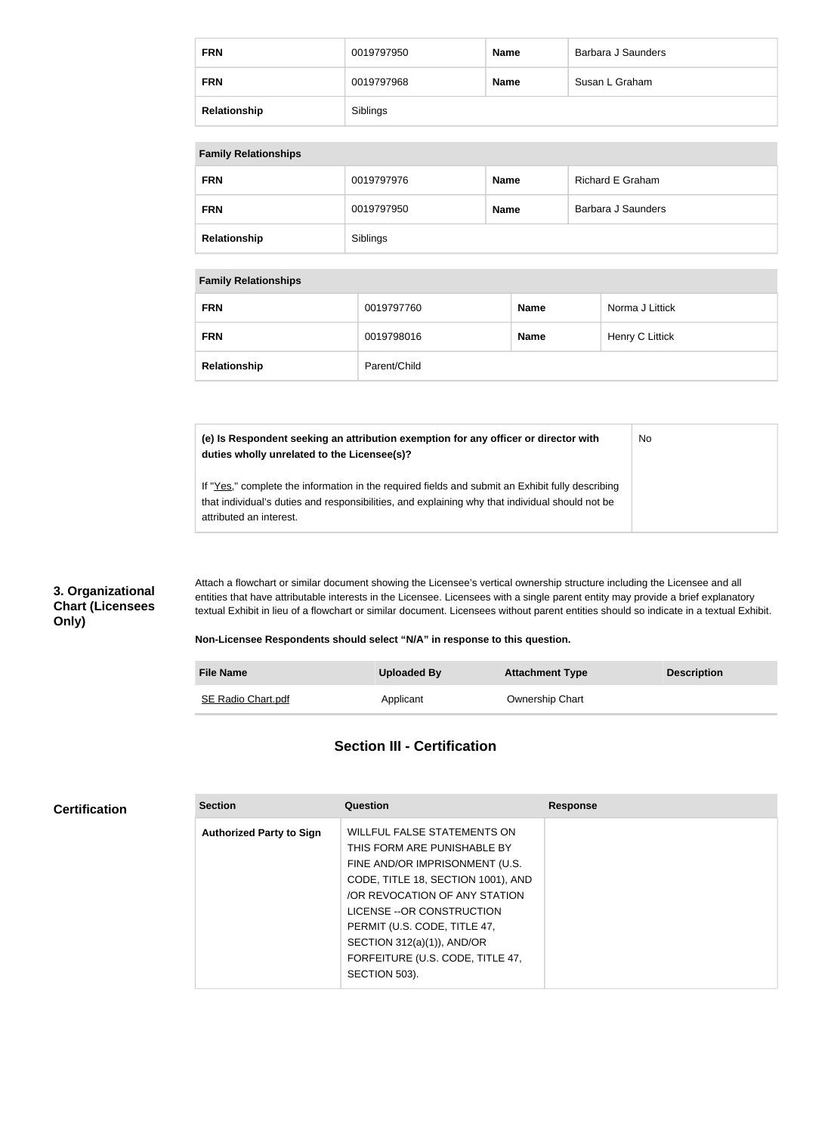| <b>FRN</b>   | 0019797950 | <b>Name</b> | Barbara J Saunders |
|--------------|------------|-------------|--------------------|
| <b>FRN</b>   | 0019797968 | Name        | Susan L Graham     |
| Relationship | Siblings   |             |                    |

|  | <b>Family Relationships</b> |  |
|--|-----------------------------|--|
|--|-----------------------------|--|

| <b>FRN</b>   | 0019797976 | <b>Name</b> | Richard E Graham   |
|--------------|------------|-------------|--------------------|
| <b>FRN</b>   | 0019797950 | <b>Name</b> | Barbara J Saunders |
| Relationship | Siblings   |             |                    |

#### **Family Relationships**

attributed an interest.

| <b>FRN</b>   | 0019797760   | <b>Name</b> | Norma J Littick |
|--------------|--------------|-------------|-----------------|
| <b>FRN</b>   | 0019798016   | <b>Name</b> | Henry C Littick |
| Relationship | Parent/Child |             |                 |

| (e) Is Respondent seeking an attribution exemption for any officer or director with<br>duties wholly unrelated to the Licensee(s)?                                                                  | No. |
|-----------------------------------------------------------------------------------------------------------------------------------------------------------------------------------------------------|-----|
| If "Yes," complete the information in the required fields and submit an Exhibit fully describing<br>that individual's duties and responsibilities, and explaining why that individual should not be |     |

### **3. Organizational Chart (Licensees Only)**

Attach a flowchart or similar document showing the Licensee's vertical ownership structure including the Licensee and all entities that have attributable interests in the Licensee. Licensees with a single parent entity may provide a brief explanatory textual Exhibit in lieu of a flowchart or similar document. Licensees without parent entities should so indicate in a textual Exhibit.

#### **Non-Licensee Respondents should select "N/A" in response to this question.**

| <b>File Name</b>   | Uploaded By | <b>Attachment Type</b> | <b>Description</b> |
|--------------------|-------------|------------------------|--------------------|
| SE Radio Chart.pdf | Applicant   | <b>Ownership Chart</b> |                    |

## **Section III - Certification**

| <b>Certification</b> | <b>Section</b>                  | Question                                                                                                                                                                                                                                                                                            | <b>Response</b> |
|----------------------|---------------------------------|-----------------------------------------------------------------------------------------------------------------------------------------------------------------------------------------------------------------------------------------------------------------------------------------------------|-----------------|
|                      | <b>Authorized Party to Sign</b> | WILLFUL FALSE STATEMENTS ON<br>THIS FORM ARE PUNISHABLE BY<br>FINE AND/OR IMPRISONMENT (U.S.<br>CODE, TITLE 18, SECTION 1001), AND<br>/OR REVOCATION OF ANY STATION<br>LICENSE -- OR CONSTRUCTION<br>PERMIT (U.S. CODE, TITLE 47,<br>SECTION 312(a)(1)), AND/OR<br>FORFEITURE (U.S. CODE, TITLE 47, |                 |
|                      |                                 | SECTION 503).                                                                                                                                                                                                                                                                                       |                 |